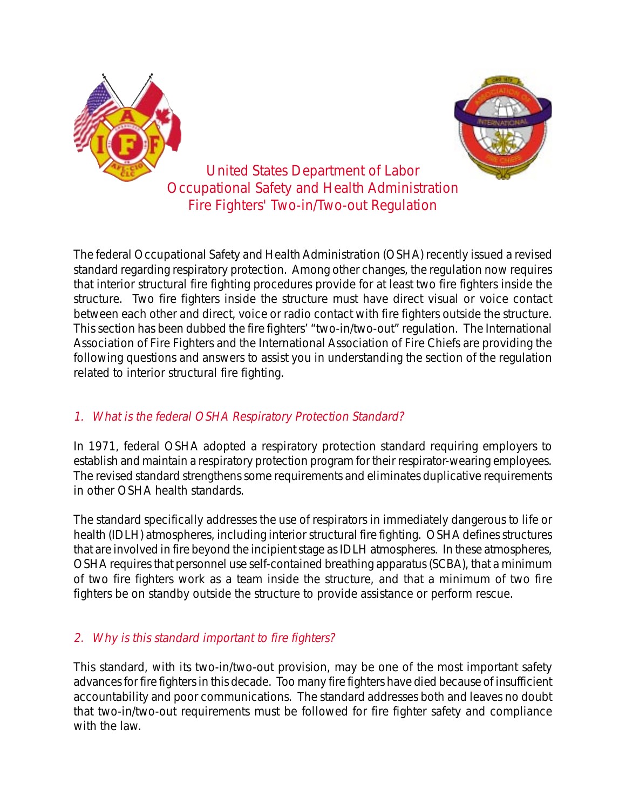



United States Department of Labor Occupational Safety and Health Administration Fire Fighters' Two-in/Two-out Regulation

The federal Occupational Safety and Health Administration (OSHA) recently issued a revised standard regarding respiratory protection. Among other changes, the regulation now requires that interior structural fire fighting procedures provide for at least two fire fighters inside the structure. Two fire fighters inside the structure must have direct visual or voice contact between each other and direct, voice or radio contact with fire fighters outside the structure. This section has been dubbed the fire fighters' "two-in/two-out" regulation. The International Association of Fire Fighters and the International Association of Fire Chiefs are providing the following questions and answers to assist you in understanding the section of the regulation related to interior structural fire fighting.

# 1. What is the federal OSHA Respiratory Protection Standard?

In 1971, federal OSHA adopted a respiratory protection standard requiring employers to establish and maintain a respiratory protection program for their respirator-wearing employees. The revised standard strengthens some requirements and eliminates duplicative requirements in other OSHA health standards.

The standard specifically addresses the use of respirators in immediately dangerous to life or health (IDLH) atmospheres, including interior structural fire fighting. OSHA defines structures that are involved in fire beyond the incipient stage as IDLH atmospheres. In these atmospheres, OSHA requires that personnel use self-contained breathing apparatus (SCBA), that a minimum of two fire fighters work as a team inside the structure, and that a minimum of two fire fighters be on standby outside the structure to provide assistance or perform rescue.

# 2. Why is this standard important to fire fighters?

This standard, with its two-in/two-out provision, may be one of the most important safety advances for fire fighters in this decade. Too many fire fighters have died because of insufficient accountability and poor communications. The standard addresses both and leaves no doubt that two-in/two-out requirements must be followed for fire fighter safety and compliance with the law.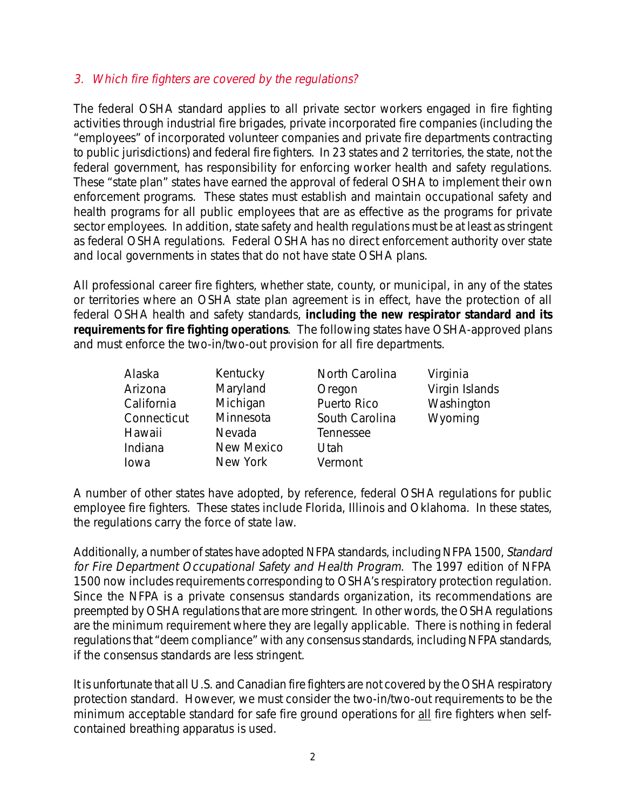### 3. Which fire fighters are covered by the regulations?

The federal OSHA standard applies to all private sector workers engaged in fire fighting activities through industrial fire brigades, private incorporated fire companies (including the "employees" of incorporated volunteer companies and private fire departments contracting to public jurisdictions) and federal fire fighters. In 23 states and 2 territories, the state, not the federal government, has responsibility for enforcing worker health and safety regulations. These "state plan" states have earned the approval of federal OSHA to implement their own enforcement programs. These states must establish and maintain occupational safety and health programs for all public employees that are as effective as the programs for private sector employees. In addition, state safety and health regulations must be at least as stringent as federal OSHA regulations. Federal OSHA has no direct enforcement authority over state and local governments in states that do not have state OSHA plans.

All professional career fire fighters, whether state, county, or municipal, in any of the states or territories where an OSHA state plan agreement is in effect, have the protection of all federal OSHA health and safety standards, **including the new respirator standard and its requirements for fire fighting operations**. The following states have OSHA-approved plans and must enforce the two-in/two-out provision for all fire departments.

| Alaska      | Kentucky   | North Carolina | Virginia       |
|-------------|------------|----------------|----------------|
| Arizona     | Maryland   | Oregon         | Virgin Islands |
| California  | Michigan   | Puerto Rico    | Washington     |
| Connecticut | Minnesota  | South Carolina | Wyoming        |
| Hawaii      | Nevada     | Tennessee      |                |
| Indiana     | New Mexico | Utah           |                |
| lowa        | New York   | Vermont        |                |

A number of other states have adopted, by reference, federal OSHA regulations for public employee fire fighters. These states include Florida, Illinois and Oklahoma. In these states, the regulations carry the force of state law.

Additionally, a number of states have adopted NFPA standards, including NFPA 1500, Standard for Fire Department Occupational Safety and Health Program. The 1997 edition of NFPA 1500 now includes requirements corresponding to OSHA's respiratory protection regulation. Since the NFPA is a private consensus standards organization, its recommendations are preempted by OSHA regulations that are more stringent. In other words, the OSHA regulations are the minimum requirement where they are legally applicable. There is nothing in federal regulations that "deem compliance" with any consensus standards, including NFPA standards, if the consensus standards are less stringent.

It is unfortunate that all U.S. and Canadian fire fighters are not covered by the OSHA respiratory protection standard. However, we must consider the two-in/two-out requirements to be the minimum acceptable standard for safe fire ground operations for all fire fighters when selfcontained breathing apparatus is used.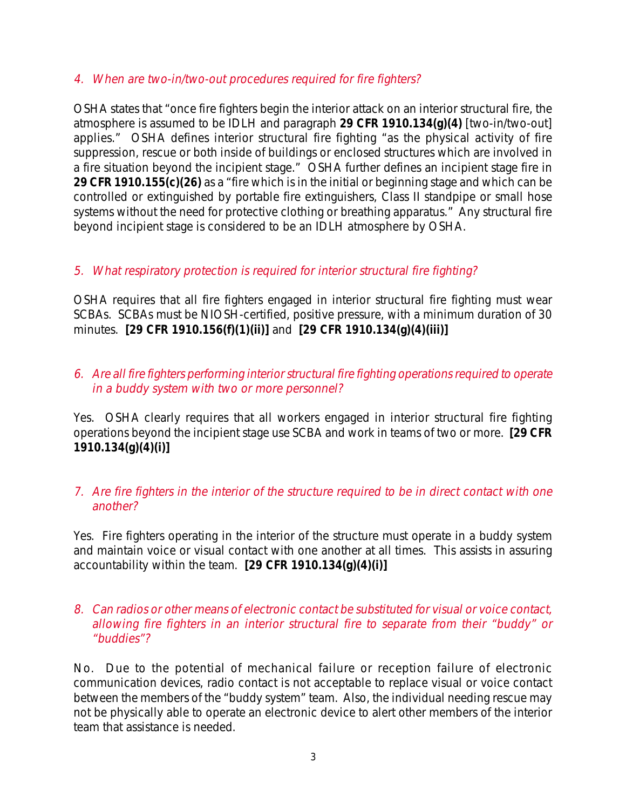### 4. When are two-in/two-out procedures required for fire fighters?

OSHA states that "once fire fighters begin the interior attack on an interior structural fire, the atmosphere is assumed to be IDLH and paragraph **29 CFR 1910.134(g)(4)** [two-in/two-out] applies." OSHA defines interior structural fire fighting "as the physical activity of fire suppression, rescue or both inside of buildings or enclosed structures which are involved in a fire situation beyond the incipient stage." OSHA further defines an incipient stage fire in **29 CFR 1910.155(c)(26)** as a "fire which is in the initial or beginning stage and which can be controlled or extinguished by portable fire extinguishers, Class II standpipe or small hose systems without the need for protective clothing or breathing apparatus." Any structural fire beyond incipient stage is considered to be an IDLH atmosphere by OSHA.

### 5. What respiratory protection is required for interior structural fire fighting?

OSHA requires that all fire fighters engaged in interior structural fire fighting must wear SCBAs. SCBAs must be NIOSH-certified, positive pressure, with a minimum duration of 30 minutes. **[29 CFR 1910.156(f)(1)(ii)]** and **[29 CFR 1910.134(g)(4)(iii)]**

#### 6. Are all fire fighters performing interior structural fire fighting operations required to operate in a buddy system with two or more personnel?

Yes. OSHA clearly requires that all workers engaged in interior structural fire fighting operations beyond the incipient stage use SCBA and work in teams of two or more. **[29 CFR 1910.134(g)(4)(i)]**

### 7. Are fire fighters in the interior of the structure required to be in direct contact with one another?

Yes. Fire fighters operating in the interior of the structure must operate in a buddy system and maintain voice or visual contact with one another at all times. This assists in assuring accountability within the team. **[29 CFR 1910.134(g)(4)(i)]**

#### 8. Can radios or other means of electronic contact be substituted for visual or voice contact, allowing fire fighters in an interior structural fire to separate from their "buddy" or "buddies"?

No. Due to the potential of mechanical failure or reception failure of electronic communication devices, radio contact is not acceptable to replace visual or voice contact between the members of the "buddy system" team. Also, the individual needing rescue may not be physically able to operate an electronic device to alert other members of the interior team that assistance is needed.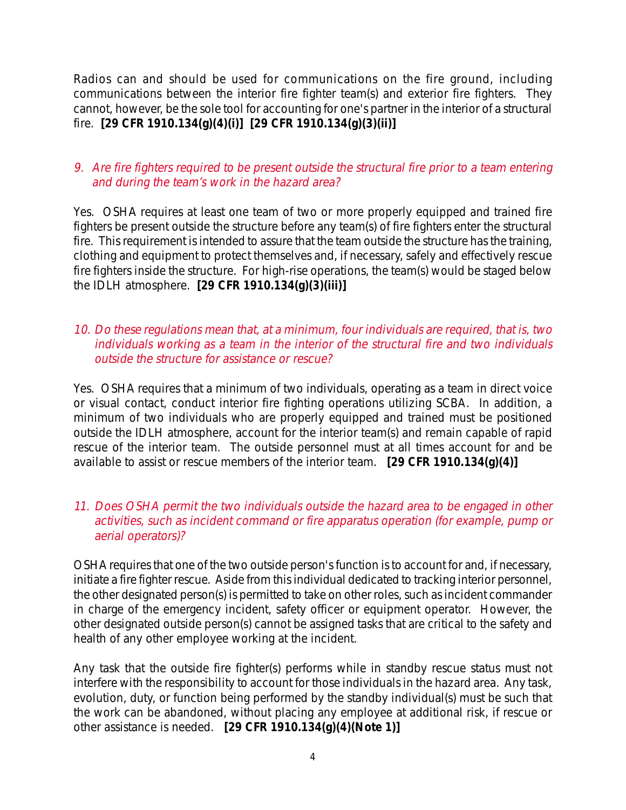Radios can and should be used for communications on the fire ground, including communications between the interior fire fighter team(s) and exterior fire fighters. They cannot, however, be the sole tool for accounting for one's partner in the interior of a structural fire. **[29 CFR 1910.134(g)(4)(i)] [29 CFR 1910.134(g)(3)(ii)]**

### 9. Are fire fighters required to be present outside the structural fire prior to a team entering and during the team's work in the hazard area?

Yes. OSHA requires at least one team of two or more properly equipped and trained fire fighters be present outside the structure before any team(s) of fire fighters enter the structural fire. This requirement is intended to assure that the team outside the structure has the training, clothing and equipment to protect themselves and, if necessary, safely and effectively rescue fire fighters inside the structure. For high-rise operations, the team(s) would be staged below the IDLH atmosphere. **[29 CFR 1910.134(g)(3)(iii)]**

### 10. Do these regulations mean that, at a minimum, four individuals are required, that is, two individuals working as a team in the interior of the structural fire and two individuals outside the structure for assistance or rescue?

Yes. OSHA requires that a minimum of two individuals, operating as a team in direct voice or visual contact, conduct interior fire fighting operations utilizing SCBA. In addition, a minimum of two individuals who are properly equipped and trained must be positioned outside the IDLH atmosphere, account for the interior team(s) and remain capable of rapid rescue of the interior team. The outside personnel must at all times account for and be available to assist or rescue members of the interior team. **[29 CFR 1910.134(g)(4)]**

### 11. Does OSHA permit the two individuals outside the hazard area to be engaged in other activities, such as incident command or fire apparatus operation (for example, pump or aerial operators)?

OSHA requires that one of the two outside person's function is to account for and, if necessary, initiate a fire fighter rescue. Aside from this individual dedicated to tracking interior personnel, the other designated person(s) is permitted to take on other roles, such as incident commander in charge of the emergency incident, safety officer or equipment operator. However, the other designated outside person(s) cannot be assigned tasks that are critical to the safety and health of any other employee working at the incident.

Any task that the outside fire fighter(s) performs while in standby rescue status must not interfere with the responsibility to account for those individuals in the hazard area. Any task, evolution, duty, or function being performed by the standby individual(s) must be such that the work can be abandoned, without placing any employee at additional risk, if rescue or other assistance is needed. **[29 CFR 1910.134(g)(4)(Note 1)]**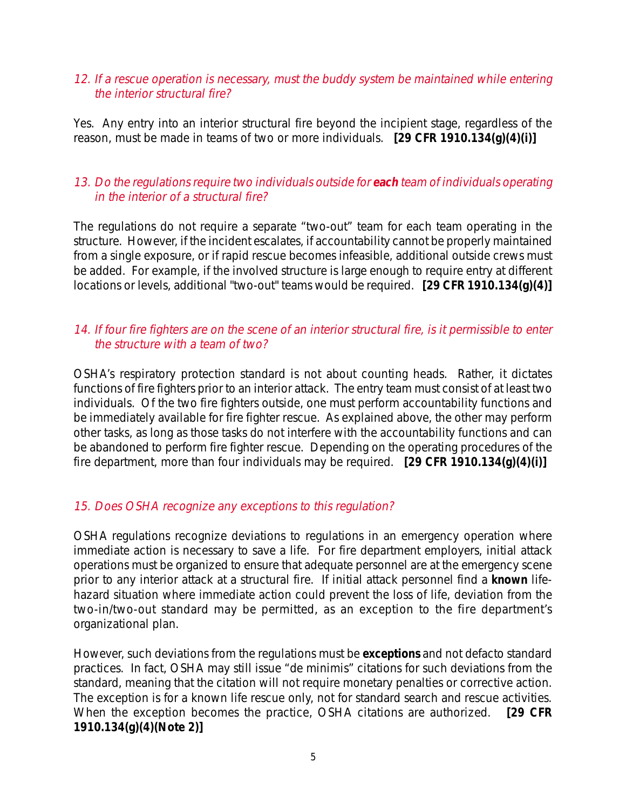#### 12. If a rescue operation is necessary, must the buddy system be maintained while entering the interior structural fire?

Yes. Any entry into an interior structural fire beyond the incipient stage, regardless of the reason, must be made in teams of two or more individuals. **[29 CFR 1910.134(g)(4)(i)]**

### 13. Do the regulations require two individuals outside for **each** team of individuals operating in the interior of a structural fire?

The regulations do not require a separate "two-out" team for each team operating in the structure. However, if the incident escalates, if accountability cannot be properly maintained from a single exposure, or if rapid rescue becomes infeasible, additional outside crews must be added. For example, if the involved structure is large enough to require entry at different locations or levels, additional "two-out" teams would be required. **[29 CFR 1910.134(g)(4)]**

### 14. If four fire fighters are on the scene of an interior structural fire, is it permissible to enter the structure with a team of two?

OSHA's respiratory protection standard is not about counting heads. Rather, it dictates functions of fire fighters prior to an interior attack. The entry team must consist of at least two individuals. Of the two fire fighters outside, one must perform accountability functions and be immediately available for fire fighter rescue. As explained above, the other may perform other tasks, as long as those tasks do not interfere with the accountability functions and can be abandoned to perform fire fighter rescue. Depending on the operating procedures of the fire department, more than four individuals may be required. **[29 CFR 1910.134(g)(4)(i)]**

### 15. Does OSHA recognize any exceptions to this regulation?

OSHA regulations recognize deviations to regulations in an emergency operation where immediate action is necessary to save a life. For fire department employers, initial attack operations must be organized to ensure that adequate personnel are at the emergency scene prior to any interior attack at a structural fire. If initial attack personnel find a **known** lifehazard situation where immediate action could prevent the loss of life, deviation from the two-in/two-out standard may be permitted, as an exception to the fire department's organizational plan.

However, such deviations from the regulations must be **exceptions** and not defacto standard practices. In fact, OSHA may still issue "de minimis" citations for such deviations from the standard, meaning that the citation will not require monetary penalties or corrective action. The exception is for a known life rescue only, not for standard search and rescue activities. When the exception becomes the practice, OSHA citations are authorized. **[29 CFR 1910.134(g)(4)(Note 2)]**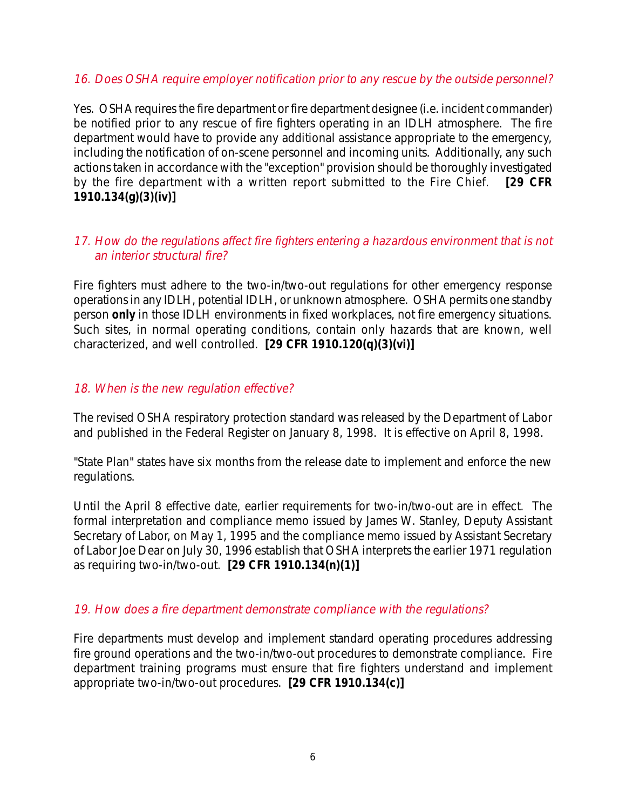#### 16. Does OSHA require employer notification prior to any rescue by the outside personnel?

Yes. OSHA requires the fire department or fire department designee (i.e. incident commander) be notified prior to any rescue of fire fighters operating in an IDLH atmosphere. The fire department would have to provide any additional assistance appropriate to the emergency, including the notification of on-scene personnel and incoming units. Additionally, any such actions taken in accordance with the "exception" provision should be thoroughly investigated by the fire department with a written report submitted to the Fire Chief. **[29 CFR 1910.134(g)(3)(iv)]**

#### 17. How do the regulations affect fire fighters entering a hazardous environment that is not an interior structural fire?

Fire fighters must adhere to the two-in/two-out regulations for other emergency response operations in any IDLH, potential IDLH, or unknown atmosphere. OSHA permits one standby person **only** in those IDLH environments in fixed workplaces, not fire emergency situations. Such sites, in normal operating conditions, contain only hazards that are known, well characterized, and well controlled. **[29 CFR 1910.120(q)(3)(vi)]**

#### 18. When is the new regulation effective?

The revised OSHA respiratory protection standard was released by the Department of Labor and published in the Federal Register on January 8, 1998. It is effective on April 8, 1998.

"State Plan" states have six months from the release date to implement and enforce the new regulations.

Until the April 8 effective date, earlier requirements for two-in/two-out are in effect. The formal interpretation and compliance memo issued by James W. Stanley, Deputy Assistant Secretary of Labor, on May 1, 1995 and the compliance memo issued by Assistant Secretary of Labor Joe Dear on July 30, 1996 establish that OSHA interprets the earlier 1971 regulation as requiring two-in/two-out. **[29 CFR 1910.134(n)(1)]**

#### 19. How does a fire department demonstrate compliance with the regulations?

Fire departments must develop and implement standard operating procedures addressing fire ground operations and the two-in/two-out procedures to demonstrate compliance. Fire department training programs must ensure that fire fighters understand and implement appropriate two-in/two-out procedures. **[29 CFR 1910.134(c)]**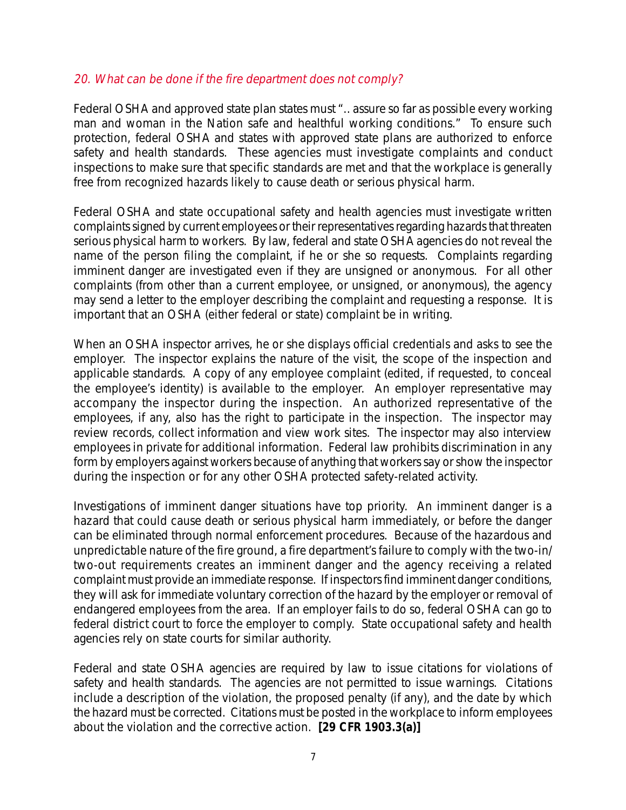#### 20. What can be done if the fire department does not comply?

Federal OSHA and approved state plan states must ".. assure so far as possible every working man and woman in the Nation safe and healthful working conditions." To ensure such protection, federal OSHA and states with approved state plans are authorized to enforce safety and health standards. These agencies must investigate complaints and conduct inspections to make sure that specific standards are met and that the workplace is generally free from recognized hazards likely to cause death or serious physical harm.

Federal OSHA and state occupational safety and health agencies must investigate written complaints signed by current employees or their representatives regarding hazards that threaten serious physical harm to workers. By law, federal and state OSHA agencies do not reveal the name of the person filing the complaint, if he or she so requests. Complaints regarding imminent danger are investigated even if they are unsigned or anonymous. For all other complaints (from other than a current employee, or unsigned, or anonymous), the agency may send a letter to the employer describing the complaint and requesting a response. It is important that an OSHA (either federal or state) complaint be in writing.

When an OSHA inspector arrives, he or she displays official credentials and asks to see the employer. The inspector explains the nature of the visit, the scope of the inspection and applicable standards. A copy of any employee complaint (edited, if requested, to conceal the employee's identity) is available to the employer. An employer representative may accompany the inspector during the inspection. An authorized representative of the employees, if any, also has the right to participate in the inspection. The inspector may review records, collect information and view work sites. The inspector may also interview employees in private for additional information. Federal law prohibits discrimination in any form by employers against workers because of anything that workers say or show the inspector during the inspection or for any other OSHA protected safety-related activity.

Investigations of imminent danger situations have top priority. An imminent danger is a hazard that could cause death or serious physical harm immediately, or before the danger can be eliminated through normal enforcement procedures. Because of the hazardous and unpredictable nature of the fire ground, a fire department's failure to comply with the two-in/ two-out requirements creates an imminent danger and the agency receiving a related complaint must provide an immediate response. If inspectors find imminent danger conditions, they will ask for immediate voluntary correction of the hazard by the employer or removal of endangered employees from the area. If an employer fails to do so, federal OSHA can go to federal district court to force the employer to comply. State occupational safety and health agencies rely on state courts for similar authority.

Federal and state OSHA agencies are required by law to issue citations for violations of safety and health standards. The agencies are not permitted to issue warnings. Citations include a description of the violation, the proposed penalty (if any), and the date by which the hazard must be corrected. Citations must be posted in the workplace to inform employees about the violation and the corrective action. **[29 CFR 1903.3(a)]**